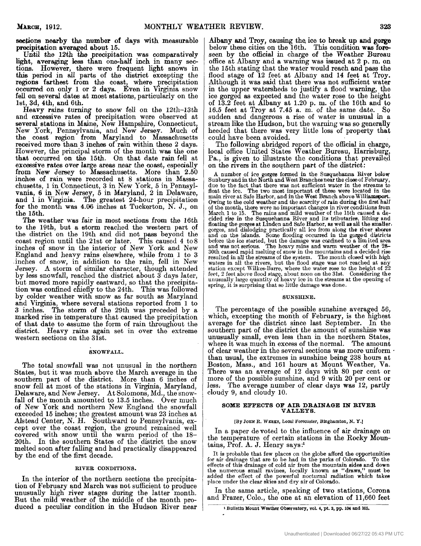**eeehns nearby** the number **of** days with measurable precipitation averaged about 15.

Until the 12th the precipitation was comparatively light, averaging less than one-half inch in many sections. However, there were frequent light snows in this period in all parts of the district excepting the **regions** farthest from the coast, where precipitation **occurred** on **only** 1 or 2 days. Even in **Virgima** snow **fell** on several dates at most etations, particularly on the lst, 3d, 4th, and 6th.

Heavy rains turning to snow fell on the 12th-13th several stations in Maine, New Hampshire, Connecticut, New York, Pennsylvania, and New Jersey. Much **of**  the coast region **from** Maryland to Massaclms-etts received more than 3 inches of rain within these 2 days. However, the principal storm of the month was the one that occurred **on** the 15th On that date **rain** fell at excessive rates over large areas near the coast, especially inches **of** rain were recorded at 8 stations in Masse chusetts, 1 in Connecticut, 3 in New York, **5** in Pennsylvania, **6** in New Jersey, 5 in Maryland, 2 in Delaware, and 1 in Virginia. The greatest 24-hour precipitation for the month was 4.06 inches at Tuckerton, N. J., on the 15th the 15th. and excessive rates of precipitation were observed at from New Jersey to Massachusetts. More than 2.50

The weather was fair in most sections from the 16th to the 19th, but a storm reached the western part of the district on the 19th and did not beyond the coast region until the 21st or later. This caused 4 to 8 inches of snow in the interior of New York and New England and heavy rains elsewhere, while from 1 to 3 inches of snow, in addition to the rain, fell in New Jersey. **A** storm of similar character, though attended by less snowfall, reached the district about 3 days later, but moved more rapidly eastward, so that the precipitation was confined chiefly to the 24th. This was followed by colder weather with snow as far south as Maryland and Virginia, where several stations reported from 1 to 3 inches. The storm of the 29th was preceded by a marked **rise** in temperature that caused the precipitation **of** that date to assume the form of rain through'out the district. Heavy rains again set in over the extreme western sections on the 31st.

#### **SNOWFALL.**

The total snowfall was not unusual in the northern States, but it was much above the March average in the southern part of the district. More than 6 inches of snow fell at most of the stations in **Virginia,** Maryland, Delaware, and New Jersey. At Solomons, Md., the snowfall of the month amounted to 13.5 inches. Over much fall of the month amounted to 13.5 inches. Over much of New York and northern New England the snowfall exceeded 15 inches; the greatest amount was 23 inches at Alstead Center, **N.** H. Southward to Pennsylvania, except over the coast region, the ground remained well covered with snow until the warm period of the 18- 20th. In the southern States of the district the snow melted soon after falling and had practically disappeared **by** the end **of** the first decade.

## **RIVER CONDITIONS.**

In the interior of the northern sections the precipitation of February and March was not sufficient to produce unusually high river stages during the latter month. But the mild weather of the middle of the month produced a peculiar condition in the Hudson River near

Albany and Troy, causing tha ice to break up and *gorge* below these cities on the 16th. This condition **was fore**seen by the official in charge of the Weather Bureau office at Albany and a warning was issued at 2 p. **m.** on the 15th stating that the water would reach and pass the flood stage of 12 feet at Albany and 14 feet at Troy. Although it was said that there was not sufficient water in the upper watersheds to justify a flood warning, the ice gorged as expected and the water rose to the height of 13.2 feet at ibany **at** 1.20 p. **a.** of the 16th and **to**  16.5 feet at Troy at 7.45 a. m. of the same date. *So*  sudden and dangerous a rise of water is unusual in a heeded that there was very little loss of property that stream like the Hudson, but the warning was so generally

could have been avoided.<br>The following abridged report of the official in charge, local office United States Weather Bureau, Harrisburg, Pa., is given to illustrate the conditions that prevailed on the rivers in the southern part *of* the district:

**A** number of ice gorges formed in the Sueyuehanna River **below**  Sunbury and in the North and West Branchesnear the close of February, due to the fact that there was not sufficient water in the streams to float the ice. The two most important of these were located in the main river at Safe Harbor, and in the West Branch above Williamsport. Owing to **the** cold weather and the scarcity of **rain** during the **first half**  of the month, there were no important changes in river conditions **from**  March 1 to 15. The rains and mild weather **of** the 15th caused a **de**cided rise in the Susquehanna River and its tributaries, lifting and floating the gorges at Linden and Safe Harbor, **as** well **as** all the **amalier,**  gorges, and dislodging practically all ice from along the river shores and on the islands. Some flooding occurred in the gorged districts before the ice started, but the damage was confined to a limited area and was not se 30th caused rapid melting of snow in the mountains and a decided rise resulted in all the streams of the system. The month clowd with high waters in **all** the rivers, but the flood stage was not reached at any station escept Wilkes-Barre, where the water rose to the height of 22 feet, 2 feet above flood stage, about noon on the 31st. Considering the unusually large quantity of heavy ice in the streams at the opening of spring, it is surprising that so little damage was done.

### **SUNSHINE.**

The percentage of the possible sunshine averaged 56, which, excepting the month of February, is the highest average for the district since last September. In the southern part of the district the amount of sunshine was unusually small, even less than in the northern States, where it was much in excess of the normal. The amount of clear weather in the several sections was more uniform of clear weather in the several sections was more uniform . than usual, the extremes in sunshine being 238 hours at Boston, Mass., and 161 hours at Mount Weather, **Va.**  There was an average of 12 days with 80 per cent or more of the possible sunshine, and 9 with 20 per cent **or**  less. The average number of clear days was 12, partly cloudy 9, and cloudy 10.

# **SOXE EFFECTS OF AIR DRAINAGE IN RIVER VALLEY** *8.*

#### **[By JOEN** *R.* **WEEKS,** *Local* **Forecaster, Bioghsmton,** *N. Y.]*

In a paper devoted to the influence of air drainage on the temperature of certain stations in the Rocky Mountains, Prof. **A.** J. Henry says:'

It is probable that few places on the globe afford the opportunities for air drainage that are to be had in the parks of Colorado. To the effects of this drainage of cold air from the mountain sides and down the numerous small ravines, locally known as "draws," must be added the effect of the powerful nocturnal radiation which takes place under the clear skies and dry air of Colorado.

In the same article, speaking of two stations, Corona and **Frazer,** Colo., the one at an elevation **of** 11,660 feet

<sup>1</sup> Bulletin Mount Weather Observatory, vol. 4, pt. 3, pp. 104 and 105.